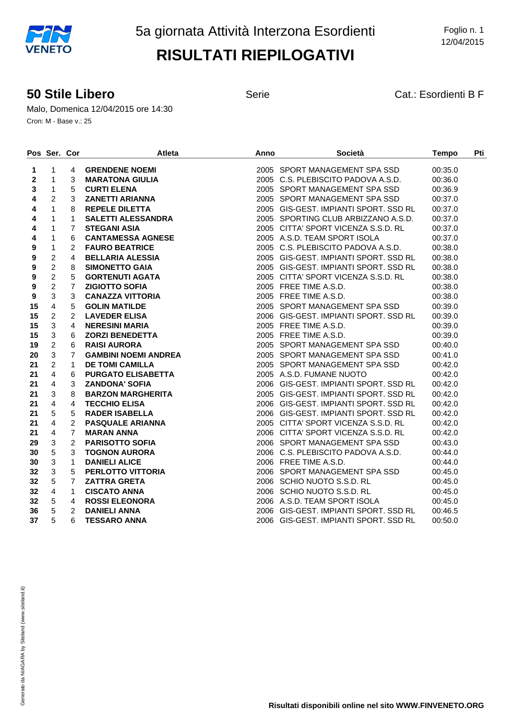#### **50 Stile Libero** Serie Cat.: Esordienti B F

Malo, Domenica 12/04/2015 ore 14:30 Cron: M - Base v.: 25

|    | Pos Ser. Cor   |                | <b>Atleta</b>               | Anno | Società                               | <b>Tempo</b> | Pti |
|----|----------------|----------------|-----------------------------|------|---------------------------------------|--------------|-----|
| 1  | $\mathbf{1}$   | 4              | <b>GRENDENE NOEMI</b>       |      | 2005 SPORT MANAGEMENT SPA SSD         | 00:35.0      |     |
| 2  | $\mathbf{1}$   | 3              | <b>MARATONA GIULIA</b>      |      | 2005 C.S. PLEBISCITO PADOVA A.S.D.    | 00:36.0      |     |
| 3  | 1              | 5              | <b>CURTI ELENA</b>          |      | 2005 SPORT MANAGEMENT SPA SSD         | 00:36.9      |     |
| 4  | $\overline{2}$ | 3              | <b>ZANETTI ARIANNA</b>      |      | 2005 SPORT MANAGEMENT SPA SSD         | 00:37.0      |     |
| 4  | $\mathbf{1}$   | 8              | <b>REPELE DILETTA</b>       |      | 2005 GIS-GEST, IMPIANTI SPORT, SSD RL | 00:37.0      |     |
| 4  | $\mathbf{1}$   | $\mathbf{1}$   | <b>SALETTI ALESSANDRA</b>   |      | 2005 SPORTING CLUB ARBIZZANO A.S.D.   | 00:37.0      |     |
| 4  | $\mathbf{1}$   | $\overline{7}$ | <b>STEGANI ASIA</b>         |      | 2005 CITTA' SPORT VICENZA S.S.D. RL   | 00:37.0      |     |
| 4  | $\mathbf{1}$   | 6              | <b>CANTAMESSA AGNESE</b>    |      | 2005 A.S.D. TEAM SPORT ISOLA          | 00:37.0      |     |
| 9  | $\mathbf{1}$   | $\overline{2}$ | <b>FAURO BEATRICE</b>       |      | 2005 C.S. PLEBISCITO PADOVA A.S.D.    | 00:38.0      |     |
| 9  | $\sqrt{2}$     | $\overline{4}$ | <b>BELLARIA ALESSIA</b>     |      | 2005 GIS-GEST. IMPIANTI SPORT. SSD RL | 00:38.0      |     |
| 9  | $\sqrt{2}$     | 8              | <b>SIMONETTO GAIA</b>       |      | 2005 GIS-GEST, IMPIANTI SPORT, SSD RL | 00:38.0      |     |
| 9  | $\overline{2}$ | 5              | <b>GORTENUTI AGATA</b>      |      | 2005 CITTA' SPORT VICENZA S.S.D. RL   | 00:38.0      |     |
| 9  | $\overline{c}$ | $\overline{7}$ | <b>ZIGIOTTO SOFIA</b>       |      | 2005 FREE TIME A.S.D.                 | 00:38.0      |     |
| 9  | $\mathbf{3}$   | 3              | <b>CANAZZA VITTORIA</b>     |      | 2005 FREE TIME A.S.D.                 | 00:38.0      |     |
| 15 | $\overline{4}$ | 5              | <b>GOLIN MATILDE</b>        |      | 2005 SPORT MANAGEMENT SPA SSD         | 00:39.0      |     |
| 15 | $\overline{c}$ | $\overline{2}$ | <b>LAVEDER ELISA</b>        |      | 2006 GIS-GEST. IMPIANTI SPORT. SSD RL | 00:39.0      |     |
| 15 | $\mathsf 3$    | 4              | <b>NERESINI MARIA</b>       |      | 2005 FREE TIME A.S.D.                 | 00:39.0      |     |
| 15 | $\mathsf 3$    | 6              | <b>ZORZI BENEDETTA</b>      |      | 2005 FREE TIME A.S.D.                 | 00:39.0      |     |
| 19 | $\overline{2}$ | 6              | <b>RAISI AURORA</b>         |      | 2005 SPORT MANAGEMENT SPA SSD         | 00:40.0      |     |
| 20 | $\mathbf{3}$   | $\overline{7}$ | <b>GAMBINI NOEMI ANDREA</b> |      | 2005 SPORT MANAGEMENT SPA SSD         | 00:41.0      |     |
| 21 | $\overline{2}$ | $\mathbf{1}$   | <b>DE TOMI CAMILLA</b>      |      | 2005 SPORT MANAGEMENT SPA SSD         | 00:42.0      |     |
| 21 | $\overline{4}$ | 6              | <b>PURGATO ELISABETTA</b>   |      | 2005 A.S.D. FUMANE NUOTO              | 00:42.0      |     |
| 21 | $\overline{4}$ | 3              | <b>ZANDONA' SOFIA</b>       |      | 2006 GIS-GEST. IMPIANTI SPORT. SSD RL | 00:42.0      |     |
| 21 | $\mathbf{3}$   | 8              | <b>BARZON MARGHERITA</b>    |      | 2005 GIS-GEST. IMPIANTI SPORT. SSD RL | 00:42.0      |     |
| 21 | $\overline{4}$ | $\overline{4}$ | <b>TECCHIO ELISA</b>        |      | 2006 GIS-GEST. IMPIANTI SPORT. SSD RL | 00:42.0      |     |
| 21 | 5              | 5              | <b>RADER ISABELLA</b>       |      | 2006 GIS-GEST. IMPIANTI SPORT. SSD RL | 00:42.0      |     |
| 21 | $\overline{4}$ | $\overline{2}$ | <b>PASQUALE ARIANNA</b>     |      | 2005 CITTA' SPORT VICENZA S.S.D. RL   | 00:42.0      |     |
| 21 | $\overline{4}$ | $\overline{7}$ | <b>MARAN ANNA</b>           |      | 2006 CITTA' SPORT VICENZA S.S.D. RL   | 00:42.0      |     |
| 29 | $\sqrt{3}$     | $\overline{2}$ | <b>PARISOTTO SOFIA</b>      |      | 2006 SPORT MANAGEMENT SPA SSD         | 00:43.0      |     |
| 30 | 5              | 3              | <b>TOGNON AURORA</b>        |      | 2006 C.S. PLEBISCITO PADOVA A.S.D.    | 00:44.0      |     |
| 30 | $\mathbf{3}$   | $\mathbf{1}$   | <b>DANIELI ALICE</b>        |      | 2006 FREE TIME A.S.D.                 | 00:44.0      |     |
| 32 | $\mathbf{3}$   | 5              | <b>PERLOTTO VITTORIA</b>    |      | 2006 SPORT MANAGEMENT SPA SSD         | 00:45.0      |     |
| 32 | 5              | $\overline{7}$ | <b>ZATTRA GRETA</b>         |      | 2006 SCHIO NUOTO S.S.D. RL            | 00:45.0      |     |
| 32 | $\overline{4}$ | $\mathbf{1}$   | <b>CISCATO ANNA</b>         |      | 2006 SCHIO NUOTO S.S.D. RL            | 00:45.0      |     |
| 32 | 5              | 4              | <b>ROSSI ELEONORA</b>       |      | 2006 A.S.D. TEAM SPORT ISOLA          | 00:45.0      |     |
| 36 | 5              | 2              | <b>DANIELI ANNA</b>         |      | 2006 GIS-GEST. IMPIANTI SPORT. SSD RL | 00:46.5      |     |
| 37 | 5              | 6              | <b>TESSARO ANNA</b>         |      | 2006 GIS-GEST, IMPIANTI SPORT, SSD RL | 00:50.0      |     |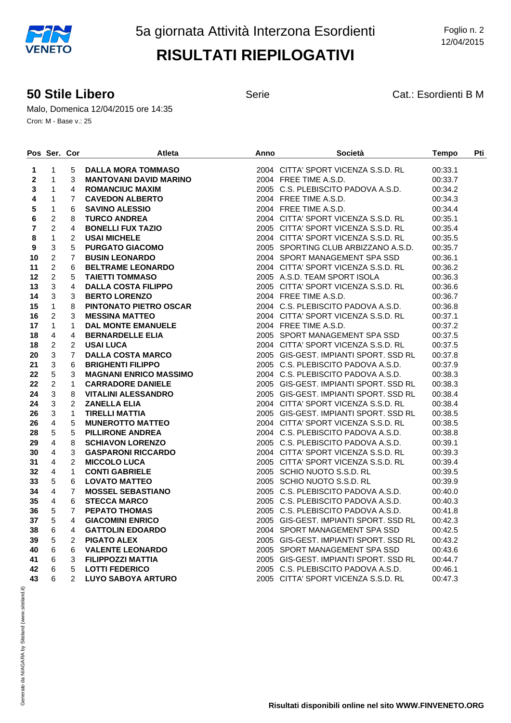#### **50 Stile Libero** Serie Serie Cat.: Esordienti B M

Malo, Domenica 12/04/2015 ore 14:35 Cron: M - Base v.: 25

|    | Pos Ser. Cor            |                | <b>Atleta</b>                 | Anno | Società                               | <b>Tempo</b> | Pti |
|----|-------------------------|----------------|-------------------------------|------|---------------------------------------|--------------|-----|
| 1  | 1                       | 5              | DALLA MORA TOMMASO            |      | 2004 CITTA' SPORT VICENZA S.S.D. RL   | 00:33.1      |     |
| 2  | $\mathbf{1}$            | 3              | <b>MANTOVANI DAVID MARINO</b> |      | 2004 FREE TIME A.S.D.                 | 00:33.7      |     |
| 3  | $\mathbf{1}$            | 4              | <b>ROMANCIUC MAXIM</b>        |      | 2005 C.S. PLEBISCITO PADOVA A.S.D.    | 00:34.2      |     |
| 4  | 1                       | $\overline{7}$ | <b>CAVEDON ALBERTO</b>        |      | 2004 FREE TIME A.S.D.                 | 00:34.3      |     |
| 5  | $\mathbf{1}$            | 6              | <b>SAVINO ALESSIO</b>         |      | 2004 FREE TIME A.S.D.                 | 00:34.4      |     |
| 6  | $\overline{2}$          | 8              | <b>TURCO ANDREA</b>           |      | 2004 CITTA' SPORT VICENZA S.S.D. RL   | 00:35.1      |     |
| 7  | $\overline{2}$          | 4              | <b>BONELLI FUX TAZIO</b>      |      | 2005 CITTA' SPORT VICENZA S.S.D. RL   | 00:35.4      |     |
| 8  | $\mathbf{1}$            | $\overline{c}$ | <b>USAI MICHELE</b>           |      | 2004 CITTA' SPORT VICENZA S.S.D. RL   | 00:35.5      |     |
| 9  | 3                       | 5              | <b>PURGATO GIACOMO</b>        |      | 2005 SPORTING CLUB ARBIZZANO A.S.D.   | 00:35.7      |     |
| 10 | $\overline{2}$          | $\overline{7}$ | <b>BUSIN LEONARDO</b>         |      | 2004 SPORT MANAGEMENT SPA SSD         | 00:36.1      |     |
| 11 | $\overline{2}$          | 6              | <b>BELTRAME LEONARDO</b>      |      | 2004 CITTA' SPORT VICENZA S.S.D. RL   | 00:36.2      |     |
| 12 | $\overline{2}$          | 5              | <b>TAIETTI TOMMASO</b>        |      | 2005 A.S.D. TEAM SPORT ISOLA          | 00:36.3      |     |
| 13 | 3                       | 4              | <b>DALLA COSTA FILIPPO</b>    |      | 2005 CITTA' SPORT VICENZA S.S.D. RL   | 00:36.6      |     |
| 14 | 3                       | 3              | <b>BERTO LORENZO</b>          |      | 2004 FREE TIME A.S.D.                 | 00:36.7      |     |
| 15 | $\mathbf{1}$            | 8              | PINTONATO PIETRO OSCAR        |      | 2004 C.S. PLEBISCITO PADOVA A.S.D.    | 00:36.8      |     |
| 16 | $\overline{2}$          | 3              | <b>MESSINA MATTEO</b>         |      | 2004 CITTA' SPORT VICENZA S.S.D. RL   | 00:37.1      |     |
| 17 | $\mathbf{1}$            | $\mathbf{1}$   | <b>DAL MONTE EMANUELE</b>     |      | 2004 FREE TIME A.S.D.                 | 00:37.2      |     |
| 18 | 4                       | 4              | <b>BERNARDELLE ELIA</b>       |      | 2005 SPORT MANAGEMENT SPA SSD         | 00:37.5      |     |
| 18 | $\overline{c}$          | $\overline{2}$ | <b>USAI LUCA</b>              |      | 2004 CITTA' SPORT VICENZA S.S.D. RL   | 00:37.5      |     |
| 20 | 3                       | $\overline{7}$ | <b>DALLA COSTA MARCO</b>      |      | 2005 GIS-GEST. IMPIANTI SPORT. SSD RL | 00:37.8      |     |
| 21 | 3                       | 6              | <b>BRIGHENTI FILIPPO</b>      |      | 2005 C.S. PLEBISCITO PADOVA A.S.D.    | 00:37.9      |     |
| 22 | 5                       | 3              | <b>MAGNANI ENRICO MASSIMO</b> |      | 2004 C.S. PLEBISCITO PADOVA A.S.D.    | 00:38.3      |     |
| 22 | $\overline{2}$          | $\mathbf{1}$   | <b>CARRADORE DANIELE</b>      |      | 2005 GIS-GEST, IMPIANTI SPORT, SSD RL | 00:38.3      |     |
| 24 | 3                       | 8              | <b>VITALINI ALESSANDRO</b>    |      | 2005 GIS-GEST. IMPIANTI SPORT. SSD RL | 00:38.4      |     |
| 24 | 3                       | 2              | <b>ZANELLA ELIA</b>           |      | 2004 CITTA' SPORT VICENZA S.S.D. RL   | 00:38.4      |     |
| 26 | 3                       | $\mathbf{1}$   | <b>TIRELLI MATTIA</b>         |      | 2005 GIS-GEST, IMPIANTI SPORT, SSD RL | 00:38.5      |     |
| 26 | $\overline{4}$          | 5              | <b>MUNEROTTO MATTEO</b>       |      | 2004 CITTA' SPORT VICENZA S.S.D. RL   | 00:38.5      |     |
| 28 | 5                       | 5              | <b>PILLIRONE ANDREA</b>       |      | 2004 C.S. PLEBISCITO PADOVA A.S.D.    | 00:38.8      |     |
| 29 | $\overline{\mathbf{4}}$ | 8              | <b>SCHIAVON LORENZO</b>       |      | 2005 C.S. PLEBISCITO PADOVA A.S.D.    | 00:39.1      |     |
| 30 | $\overline{4}$          | 3              | <b>GASPARONI RICCARDO</b>     |      | 2004 CITTA' SPORT VICENZA S.S.D. RL   | 00:39.3      |     |
| 31 | $\overline{4}$          | $\overline{c}$ | <b>MICCOLO LUCA</b>           |      | 2005 CITTA' SPORT VICENZA S.S.D. RL   | 00:39.4      |     |
| 32 | 4                       | $\mathbf{1}$   | <b>CONTI GABRIELE</b>         |      | 2005 SCHIO NUOTO S.S.D. RL            | 00:39.5      |     |
| 33 | 5                       | 6              | <b>LOVATO MATTEO</b>          |      | 2005 SCHIO NUOTO S.S.D. RL            | 00:39.9      |     |
| 34 | $\overline{4}$          | $\overline{7}$ | <b>MOSSEL SEBASTIANO</b>      |      | 2005 C.S. PLEBISCITO PADOVA A.S.D.    | 00:40.0      |     |
| 35 | 4                       | 6              | <b>STECCA MARCO</b>           |      | 2005 C.S. PLEBISCITO PADOVA A.S.D.    | 00:40.3      |     |
| 36 | 5                       | $\overline{7}$ | <b>PEPATO THOMAS</b>          |      | 2005 C.S. PLEBISCITO PADOVA A.S.D.    | 00:41.8      |     |
| 37 | 5                       | 4              | <b>GIACOMINI ENRICO</b>       |      | 2005 GIS-GEST, IMPIANTI SPORT, SSD RL | 00:42.3      |     |
| 38 | 6                       | 4              | <b>GATTOLIN EDOARDO</b>       |      | 2004 SPORT MANAGEMENT SPA SSD         | 00:42.5      |     |
| 39 | 5                       | $\overline{2}$ | <b>PIGATO ALEX</b>            |      | 2005 GIS-GEST. IMPIANTI SPORT. SSD RL | 00:43.2      |     |
| 40 | $\,6\,$                 | 6              | <b>VALENTE LEONARDO</b>       |      | 2005 SPORT MANAGEMENT SPA SSD         | 00:43.6      |     |
| 41 | 6                       | 3              | <b>FILIPPOZZI MATTIA</b>      |      | 2005 GIS-GEST. IMPIANTI SPORT. SSD RL | 00:44.7      |     |
| 42 | 6                       | 5              | <b>LOTTI FEDERICO</b>         |      | 2005 C.S. PLEBISCITO PADOVA A.S.D.    | 00:46.1      |     |
| 43 | 6                       | $\overline{2}$ | LUYO SABOYA ARTURO            |      | 2005 CITTA' SPORT VICENZA S.S.D. RL   | 00:47.3      |     |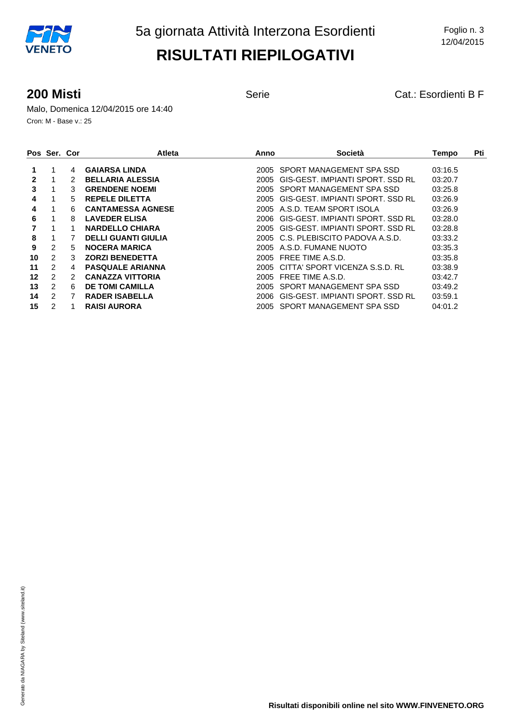**200 Misti 200 Misti Cat.: Esordienti B F** 

Malo, Domenica 12/04/2015 ore 14:40 Cron: M - Base v.: 25

|    | Pos Ser. Cor  |    | <b>Atleta</b>              | Anno   | Società                          | Tempo   | Pti |
|----|---------------|----|----------------------------|--------|----------------------------------|---------|-----|
|    |               | 4  | <b>GAIARSA LINDA</b>       | 2005   | SPORT MANAGEMENT SPA SSD         | 03:16.5 |     |
| 2  |               |    | <b>BELLARIA ALESSIA</b>    | 2005   | GIS-GEST, IMPIANTI SPORT, SSD RL | 03:20.7 |     |
| 3  |               | 3  | <b>GRENDENE NOEMI</b>      | 2005   | SPORT MANAGEMENT SPA SSD         | 03:25.8 |     |
| 4  |               | 5  | <b>REPELE DILETTA</b>      | 2005   | GIS-GEST. IMPIANTI SPORT. SSD RL | 03:26.9 |     |
| 4  |               | 6  | <b>CANTAMESSA AGNESE</b>   |        | 2005 A.S.D. TEAM SPORT ISOLA     | 03:26.9 |     |
| 6  |               | 8  | <b>LAVEDER ELISA</b>       | 2006-  | GIS-GEST, IMPIANTI SPORT, SSD RL | 03:28.0 |     |
|    |               |    | <b>NARDELLO CHIARA</b>     | 2005   | GIS-GEST, IMPIANTI SPORT, SSD RL | 03:28.8 |     |
| 8  |               |    | <b>DELLI GUANTI GIULIA</b> | 2005   | C.S. PLEBISCITO PADOVA A.S.D.    | 03:33.2 |     |
| 9  | 2             | 5. | <b>NOCERA MARICA</b>       |        | 2005 A.S.D. FUMANE NUOTO         | 03:35.3 |     |
| 10 | 2             | 3  | <b>ZORZI BENEDETTA</b>     | 2005   | FREE TIME A.S.D.                 | 03:35.8 |     |
| 11 | 2             | 4  | <b>PASQUALE ARIANNA</b>    | 2005   | CITTA' SPORT VICENZA S.S.D. RL   | 03:38.9 |     |
| 12 | 2             | 2  | <b>CANAZZA VITTORIA</b>    | 2005   | FREE TIME A.S.D.                 | 03:42.7 |     |
| 13 | $\mathcal{P}$ | 6  | <b>DE TOMI CAMILLA</b>     | 2005   | SPORT MANAGEMENT SPA SSD         | 03:49.2 |     |
| 14 | 2             |    | <b>RADER ISABELLA</b>      | 2006.  | GIS-GEST. IMPIANTI SPORT. SSD RL | 03:59.1 |     |
| 15 | 2             |    | <b>RAISI AURORA</b>        | 2005 - | SPORT MANAGEMENT SPA SSD         | 04:01.2 |     |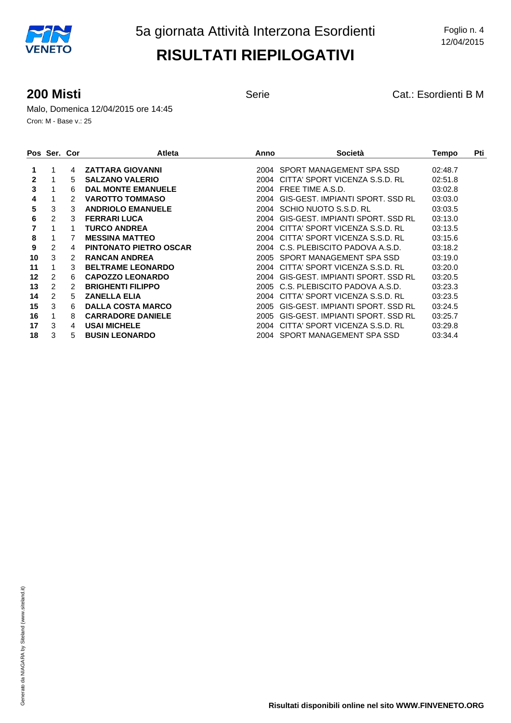**200 Misti 200 Misti Cat.: Esordienti B M** 

Malo, Domenica 12/04/2015 ore 14:45 Cron: M - Base v.: 25

|    | Pos Ser. Cor   |    | <b>Atleta</b>                 | Anno | Società                          | Tempo   | Pti |
|----|----------------|----|-------------------------------|------|----------------------------------|---------|-----|
| 1  |                | 4  | <b>ZATTARA GIOVANNI</b>       |      | 2004 SPORT MANAGEMENT SPA SSD    | 02:48.7 |     |
| 2  |                | 5  | <b>SALZANO VALERIO</b>        | 2004 | CITTA' SPORT VICENZA S.S.D. RL   | 02:51.8 |     |
| 3  |                | 6  | <b>DAL MONTE EMANUELE</b>     | 2004 | FREE TIME A.S.D.                 | 03:02.8 |     |
| 4  |                |    | <b>VAROTTO TOMMASO</b>        | 2004 | GIS-GEST. IMPIANTI SPORT. SSD RL | 03:03.0 |     |
| 5  | 3              | 3  | <b>ANDRIOLO EMANUELE</b>      | 2004 | SCHIO NUOTO S.S.D. RL            | 03:03.5 |     |
| 6  | $\mathcal{P}$  | 3  | <b>FERRARI LUCA</b>           | 2004 | GIS-GEST, IMPIANTI SPORT, SSD RL | 03:13.0 |     |
|    |                |    | <b>TURCO ANDREA</b>           | 2004 | CITTA' SPORT VICENZA S.S.D. RL   | 03:13.5 |     |
| 8  |                | 7  | <b>MESSINA MATTEO</b>         | 2004 | CITTA' SPORT VICENZA S.S.D. RL   | 03:15.6 |     |
| 9  | 2              | 4  | <b>PINTONATO PIETRO OSCAR</b> | 2004 | C.S. PLEBISCITO PADOVA A.S.D.    | 03:18.2 |     |
| 10 | 3              | 2  | <b>RANCAN ANDREA</b>          | 2005 | SPORT MANAGEMENT SPA SSD         | 03:19.0 |     |
| 11 | 1              | 3  | <b>BELTRAME LEONARDO</b>      | 2004 | CITTA' SPORT VICENZA S.S.D. RL   | 03:20.0 |     |
| 12 | 2              | 6  | <b>CAPOZZO LEONARDO</b>       | 2004 | GIS-GEST. IMPIANTI SPORT. SSD RL | 03:20.5 |     |
| 13 | $\overline{2}$ | 2  | <b>BRIGHENTI FILIPPO</b>      | 2005 | C.S. PLEBISCITO PADOVA A.S.D.    | 03:23.3 |     |
| 14 | 2              | 5  | <b>ZANELLA ELIA</b>           | 2004 | CITTA' SPORT VICENZA S.S.D. RL   | 03:23.5 |     |
| 15 | 3              | 6. | <b>DALLA COSTA MARCO</b>      | 2005 | GIS-GEST. IMPIANTI SPORT. SSD RL | 03:24.5 |     |
| 16 |                | 8  | <b>CARRADORE DANIELE</b>      | 2005 | GIS-GEST. IMPIANTI SPORT. SSD RL | 03:25.7 |     |
| 17 | 3              | 4  | <b>USAI MICHELE</b>           | 2004 | CITTA' SPORT VICENZA S.S.D. RL   | 03:29.8 |     |
| 18 | 3              | 5  | <b>BUSIN LEONARDO</b>         | 2004 | SPORT MANAGEMENT SPA SSD         | 03:34.4 |     |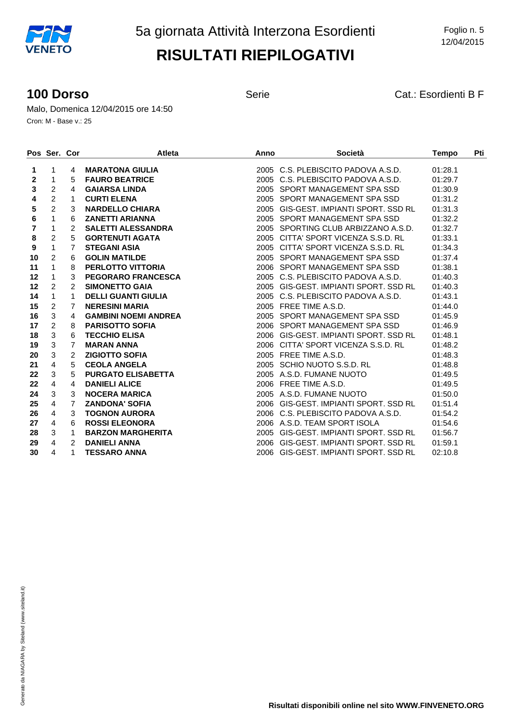**100 Dorso** Serie Cat.: Esordienti B F

Malo, Domenica 12/04/2015 ore 14:50 Cron: M - Base v.: 25

|    | Pos Ser. Cor   |                | <b>Atleta</b>               | Anno | <b>Società</b>                        | <b>Tempo</b> | Pti |
|----|----------------|----------------|-----------------------------|------|---------------------------------------|--------------|-----|
| 1  | 1              | 4              | <b>MARATONA GIULIA</b>      |      | 2005 C.S. PLEBISCITO PADOVA A.S.D.    | 01:28.1      |     |
| 2  | 1              | 5              | <b>FAURO BEATRICE</b>       |      | 2005 C.S. PLEBISCITO PADOVA A.S.D.    | 01:29.7      |     |
| 3  | $\overline{c}$ | 4              | <b>GAIARSA LINDA</b>        |      | 2005 SPORT MANAGEMENT SPA SSD         | 01:30.9      |     |
| 4  | $\overline{c}$ | 1              | <b>CURTI ELENA</b>          |      | 2005 SPORT MANAGEMENT SPA SSD         | 01:31.2      |     |
| 5  | $\overline{c}$ | 3              | <b>NARDELLO CHIARA</b>      |      | 2005 GIS-GEST, IMPIANTI SPORT, SSD RL | 01:31.3      |     |
| 6  | 1              | 6              | <b>ZANETTI ARIANNA</b>      |      | 2005 SPORT MANAGEMENT SPA SSD         | 01:32.2      |     |
| 7  | 1              | 2              | <b>SALETTI ALESSANDRA</b>   |      | 2005 SPORTING CLUB ARBIZZANO A.S.D.   | 01:32.7      |     |
| 8  | $\overline{c}$ | 5              | <b>GORTENUTI AGATA</b>      |      | 2005 CITTA' SPORT VICENZA S.S.D. RL   | 01:33.1      |     |
| 9  | $\mathbf{1}$   | 7              | <b>STEGANI ASIA</b>         |      | 2005 CITTA' SPORT VICENZA S.S.D. RL   | 01:34.3      |     |
| 10 | $\overline{c}$ | 6              | <b>GOLIN MATILDE</b>        |      | 2005 SPORT MANAGEMENT SPA SSD         | 01:37.4      |     |
| 11 | 1              | 8              | <b>PERLOTTO VITTORIA</b>    |      | 2006 SPORT MANAGEMENT SPA SSD         | 01:38.1      |     |
| 12 | 1              | 3              | <b>PEGORARO FRANCESCA</b>   |      | 2005 C.S. PLEBISCITO PADOVA A.S.D.    | 01:40.3      |     |
| 12 | $\overline{2}$ | $\overline{2}$ | <b>SIMONETTO GAIA</b>       |      | 2005 GIS-GEST, IMPIANTI SPORT, SSD RL | 01:40.3      |     |
| 14 | $\mathbf{1}$   | $\mathbf 1$    | <b>DELLI GUANTI GIULIA</b>  |      | 2005 C.S. PLEBISCITO PADOVA A.S.D.    | 01:43.1      |     |
| 15 | 2              | 7              | <b>NERESINI MARIA</b>       |      | 2005 FREE TIME A.S.D.                 | 01:44.0      |     |
| 16 | 3              | 4              | <b>GAMBINI NOEMI ANDREA</b> |      | 2005 SPORT MANAGEMENT SPA SSD         | 01:45.9      |     |
| 17 | $\overline{2}$ | 8              | <b>PARISOTTO SOFIA</b>      |      | 2006 SPORT MANAGEMENT SPA SSD         | 01:46.9      |     |
| 18 | 3              | 6              | <b>TECCHIO ELISA</b>        |      | 2006 GIS-GEST, IMPIANTI SPORT, SSD RL | 01:48.1      |     |
| 19 | 3              | $\overline{7}$ | <b>MARAN ANNA</b>           |      | 2006 CITTA' SPORT VICENZA S.S.D. RL   | 01:48.2      |     |
| 20 | 3              | 2              | <b>ZIGIOTTO SOFIA</b>       |      | 2005 FREE TIME A.S.D.                 | 01:48.3      |     |
| 21 | 4              | 5              | <b>CEOLA ANGELA</b>         |      | 2005 SCHIO NUOTO S.S.D. RL            | 01:48.8      |     |
| 22 | 3              | 5              | <b>PURGATO ELISABETTA</b>   |      | 2005 A.S.D. FUMANE NUOTO              | 01:49.5      |     |
| 22 | 4              | 4              | <b>DANIELI ALICE</b>        |      | 2006 FREE TIME A.S.D.                 | 01:49.5      |     |
| 24 | 3              | 3              | <b>NOCERA MARICA</b>        |      | 2005 A.S.D. FUMANE NUOTO              | 01:50.0      |     |
| 25 | 4              | $\overline{7}$ | <b>ZANDONA' SOFIA</b>       |      | 2006 GIS-GEST. IMPIANTI SPORT. SSD RL | 01:51.4      |     |
| 26 | 4              | 3              | <b>TOGNON AURORA</b>        |      | 2006 C.S. PLEBISCITO PADOVA A.S.D.    | 01:54.2      |     |
| 27 | 4              | 6              | <b>ROSSI ELEONORA</b>       |      | 2006 A.S.D. TEAM SPORT ISOLA          | 01:54.6      |     |
| 28 | 3              | $\mathbf{1}$   | <b>BARZON MARGHERITA</b>    |      | 2005 GIS-GEST. IMPIANTI SPORT. SSD RL | 01:56.7      |     |
| 29 | 4              | 2              | <b>DANIELI ANNA</b>         |      | 2006 GIS-GEST, IMPIANTI SPORT, SSD RL | 01:59.1      |     |
| 30 | 4              | 1              | <b>TESSARO ANNA</b>         |      | 2006 GIS-GEST, IMPIANTI SPORT, SSD RL | 02:10.8      |     |

**Risultati disponibili online nel sito WWW.FINVENETO.ORG**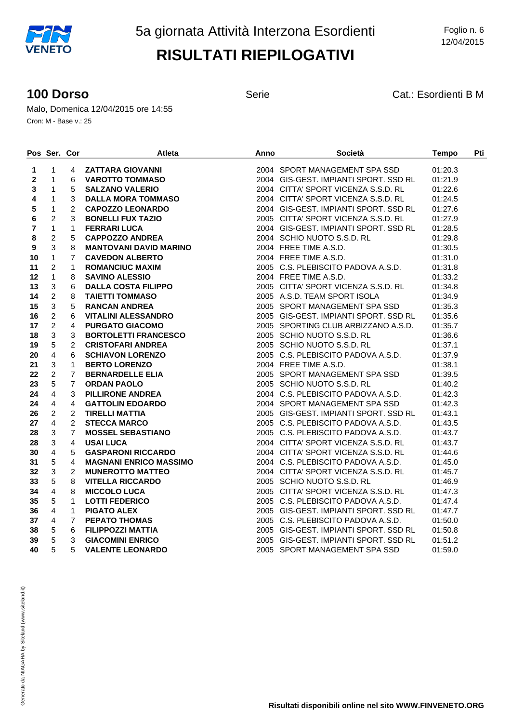**100 Dorso** Serie Serie Cat.: Esordienti B M

Malo, Domenica 12/04/2015 ore 14:55 Cron: M - Base v.: 25

|         | Pos Ser. Cor   |                | <b>Atleta</b>                                                                                                                                                                                                                                                      | Anno | Società                               | <b>Tempo</b> | Pti |
|---------|----------------|----------------|--------------------------------------------------------------------------------------------------------------------------------------------------------------------------------------------------------------------------------------------------------------------|------|---------------------------------------|--------------|-----|
| 1       | $\mathbf{1}$   | 4              | <b>VAROTTO TOMMASO<br/>SALZANO VALERIO<br/>DALLA MORA TOMMASO<br/>CAPOZZO LEONARDO<br/>BONELLI FUX TAZIO<br/>FERRARI LUCA<br/>CAPPOZZO ANDREA<br/>MANTOVANI DAVID MARINO<br/>CAPPOZZO ANDREA</b>                                                                   |      | 2004 SPORT MANAGEMENT SPA SSD         | 01:20.3      |     |
| 2       | $\mathbf{1}$   | 6              |                                                                                                                                                                                                                                                                    |      | 2004 GIS-GEST. IMPIANTI SPORT. SSD RL | 01:21.9      |     |
| 3       | $\mathbf{1}$   | 5              |                                                                                                                                                                                                                                                                    |      | 2004 CITTA' SPORT VICENZA S.S.D. RL   | 01:22.6      |     |
| 4       | $\mathbf{1}$   | 3              |                                                                                                                                                                                                                                                                    |      | 2004 CITTA' SPORT VICENZA S.S.D. RL   | 01:24.5      |     |
| 5       | 1              | $\overline{2}$ |                                                                                                                                                                                                                                                                    |      | 2004 GIS-GEST, IMPIANTI SPORT, SSD RL | 01:27.6      |     |
| 6       | $\sqrt{2}$     | 3              |                                                                                                                                                                                                                                                                    |      | 2005 CITTA' SPORT VICENZA S.S.D. RL   | 01:27.9      |     |
| 7       | $\mathbf{1}$   | $\mathbf{1}$   |                                                                                                                                                                                                                                                                    |      | 2004 GIS-GEST. IMPIANTI SPORT. SSD RL | 01:28.5      |     |
| 8       | $\overline{2}$ | 5              |                                                                                                                                                                                                                                                                    |      | 2004 SCHIO NUOTO S.S.D. RL            | 01:29.8      |     |
| 9       | $\mathbf{3}$   | 8              | MANTOVANI DAVID MARINO<br>MANTOVANI DAVID MARINO<br>CAVEDON ALBERTO<br>ROMANCIUC MAXIM<br>SAVINO ALESSIO<br>DALLA COSTA FILIPPO<br>TAIETTI TOMMASO<br>RANCAN ANDREA<br>VITALINI ALESSANDRO<br>PURGATO GIACOMO<br>BORTOLETTI FRANCESCO<br>CRISTOFARI ANDREA<br>SCHI |      | 2004 FREE TIME A.S.D.                 | 01:30.5      |     |
| 10      | $\mathbf{1}$   | $\overline{7}$ |                                                                                                                                                                                                                                                                    |      | 2004 FREE TIME A.S.D.                 | 01:31.0      |     |
| 11      | $\overline{c}$ | $\mathbf{1}$   |                                                                                                                                                                                                                                                                    |      | 2005 C.S. PLEBISCITO PADOVA A.S.D.    | 01:31.8      |     |
| $12 \,$ | $\mathbf{1}$   | 8              |                                                                                                                                                                                                                                                                    |      | 2004 FREE TIME A.S.D.                 | 01:33.2      |     |
| 13      | $\mathbf{3}$   | 6              |                                                                                                                                                                                                                                                                    |      | 2005 CITTA' SPORT VICENZA S.S.D. RL   | 01:34.8      |     |
| 14      | $\overline{c}$ | 8              |                                                                                                                                                                                                                                                                    |      | 2005 A.S.D. TEAM SPORT ISOLA          | 01:34.9      |     |
| 15      | $\mathfrak{Z}$ | 5              |                                                                                                                                                                                                                                                                    |      | 2005 SPORT MANAGEMENT SPA SSD         | 01:35.3      |     |
| 16      | $\overline{c}$ | 6              |                                                                                                                                                                                                                                                                    |      | 2005 GIS-GEST. IMPIANTI SPORT. SSD RL | 01:35.6      |     |
| 17      | $\overline{2}$ | 4              |                                                                                                                                                                                                                                                                    |      | 2005 SPORTING CLUB ARBIZZANO A.S.D.   | 01:35.7      |     |
| 18      | 3              | 3              |                                                                                                                                                                                                                                                                    |      | 2005 SCHIO NUOTO S.S.D. RL            | 01:36.6      |     |
| 19      | $\sqrt{5}$     | $\overline{2}$ |                                                                                                                                                                                                                                                                    |      | 2005 SCHIO NUOTO S.S.D. RL            | 01:37.1      |     |
| 20      | $\overline{4}$ | 6              |                                                                                                                                                                                                                                                                    |      | 2005 C.S. PLEBISCITO PADOVA A.S.D.    | 01:37.9      |     |
| 21      | $\mathfrak{Z}$ | $\mathbf{1}$   |                                                                                                                                                                                                                                                                    |      | 2004 FREE TIME A.S.D.                 | 01:38.1      |     |
| 22      | $\overline{2}$ | $\overline{7}$ |                                                                                                                                                                                                                                                                    |      | 2005 SPORT MANAGEMENT SPA SSD         | 01:39.5      |     |
| 23      | 5              | $7^{\circ}$    |                                                                                                                                                                                                                                                                    |      | 2005 SCHIO NUOTO S.S.D. RL            | 01:40.2      |     |
| 24      | $\overline{4}$ | 3              |                                                                                                                                                                                                                                                                    |      | 2004 C.S. PLEBISCITO PADOVA A.S.D.    | 01:42.3      |     |
| 24      | $\overline{4}$ | 4              |                                                                                                                                                                                                                                                                    |      | 2004 SPORT MANAGEMENT SPA SSD         | 01:42.3      |     |
| 26      | $\overline{2}$ | $\overline{2}$ |                                                                                                                                                                                                                                                                    |      | 2005 GIS-GEST. IMPIANTI SPORT. SSD RL | 01:43.1      |     |
| 27      | $\overline{4}$ | $\overline{2}$ |                                                                                                                                                                                                                                                                    |      | 2005 C.S. PLEBISCITO PADOVA A.S.D.    | 01:43.5      |     |
| 28      | $\mathbf{3}$   | $\overline{7}$ |                                                                                                                                                                                                                                                                    |      | 2005 C.S. PLEBISCITO PADOVA A.S.D.    | 01:43.7      |     |
| 28      | $\mathfrak{Z}$ | 4              |                                                                                                                                                                                                                                                                    |      | 2004 CITTA' SPORT VICENZA S.S.D. RL   | 01:43.7      |     |
| 30      | $\overline{4}$ | 5              | <b>GASPARONI RICCARDO</b>                                                                                                                                                                                                                                          |      | 2004 CITTA' SPORT VICENZA S.S.D. RL   | 01:44.6      |     |
| 31      | $\sqrt{5}$     | $\overline{4}$ | <b>MAGNANI ENRICO MASSIMO</b>                                                                                                                                                                                                                                      |      | 2004 C.S. PLEBISCITO PADOVA A.S.D.    | 01:45.0      |     |
| 32      | $\mathsf 3$    | $\overline{2}$ | <b>MUNEROTTO MATTEO</b>                                                                                                                                                                                                                                            |      | 2004 CITTA' SPORT VICENZA S.S.D. RL   | 01:45.7      |     |
| 33      | 5              | 8              | <b>VITELLA RICCARDO</b>                                                                                                                                                                                                                                            |      | 2005 SCHIO NUOTO S.S.D. RL            | 01:46.9      |     |
| 34      | $\overline{4}$ | 8              | <b>MICCOLO LUCA</b>                                                                                                                                                                                                                                                |      | 2005 CITTA' SPORT VICENZA S.S.D. RL   | 01:47.3      |     |
| 35      | 5              | $\mathbf{1}$   | <b>LOTTI FEDERICO</b>                                                                                                                                                                                                                                              |      | 2005 C.S. PLEBISCITO PADOVA A.S.D.    | 01:47.4      |     |
| 36      | $\overline{4}$ | $\mathbf{1}$   | <b>PIGATO ALEX</b>                                                                                                                                                                                                                                                 |      | 2005 GIS-GEST. IMPIANTI SPORT. SSD RL | 01:47.7      |     |
| 37      | $\overline{4}$ | $7^{\circ}$    | <b>PEPATO THOMAS</b>                                                                                                                                                                                                                                               |      | 2005 C.S. PLEBISCITO PADOVA A.S.D.    | 01:50.0      |     |
| 38      | 5              | 6              | <b>FILIPPOZZI MATTIA</b>                                                                                                                                                                                                                                           |      | 2005 GIS-GEST. IMPIANTI SPORT. SSD RL | 01:50.8      |     |
| 39      | 5              | 3              | <b>GIACOMINI ENRICO</b>                                                                                                                                                                                                                                            |      | 2005 GIS-GEST. IMPIANTI SPORT. SSD RL | 01:51.2      |     |
| 40      | 5              | 5              | <b>VALENTE LEONARDO</b>                                                                                                                                                                                                                                            |      | 2005 SPORT MANAGEMENT SPA SSD         | 01:59.0      |     |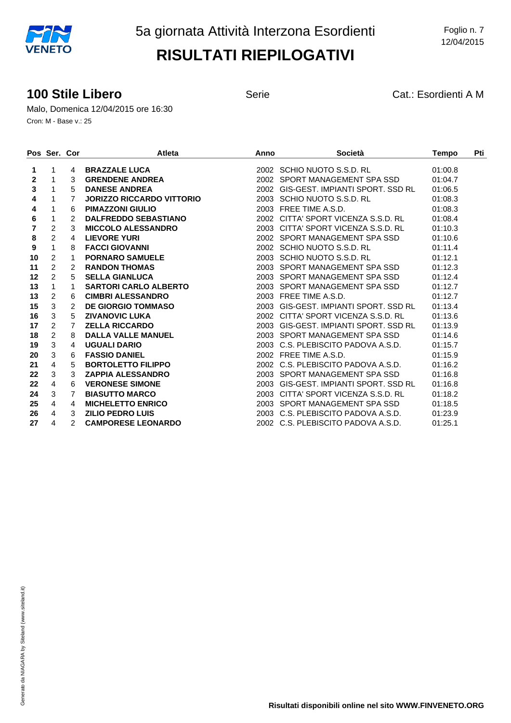#### **100 Stile Libero 100 Stile Libero** Serie **Cat.: Esordienti A M**

Malo, Domenica 12/04/2015 ore 16:30 Cron: M - Base v.: 25

|              | Pos Ser. Cor   |                        | <b>Atleta</b>                    | Anno | <b>Società</b>                        | <b>Tempo</b> | Pti |
|--------------|----------------|------------------------|----------------------------------|------|---------------------------------------|--------------|-----|
| 1            | 1              | 4                      | <b>BRAZZALE LUCA</b>             |      | 2002 SCHIO NUOTO S.S.D. RL            | 01:00.8      |     |
| $\mathbf{2}$ | 1              | 3                      | <b>GRENDENE ANDREA</b>           |      | 2002 SPORT MANAGEMENT SPA SSD         | 01:04.7      |     |
| 3            | 1              | 5                      | <b>DANESE ANDREA</b>             |      | 2002 GIS-GEST. IMPIANTI SPORT. SSD RL | 01:06.5      |     |
| 4            | 1              | 7                      | <b>JORIZZO RICCARDO VITTORIO</b> |      | 2003 SCHIO NUOTO S.S.D. RL            | 01:08.3      |     |
| 4            | 1              | 6                      | <b>PIMAZZONI GIULIO</b>          |      | 2003 FREE TIME A.S.D.                 | 01:08.3      |     |
| 6            | 1              | 2                      | <b>DALFREDDO SEBASTIANO</b>      |      | 2002 CITTA' SPORT VICENZA S.S.D. RL   | 01:08.4      |     |
| 7            | $\overline{2}$ | 3                      | <b>MICCOLO ALESSANDRO</b>        |      | 2003 CITTA' SPORT VICENZA S.S.D. RL   | 01:10.3      |     |
| 8            | $\overline{2}$ | 4                      | <b>LIEVORE YURI</b>              |      | 2002 SPORT MANAGEMENT SPA SSD         | 01:10.6      |     |
| 9            | $\mathbf{1}$   | 8                      | <b>FACCI GIOVANNI</b>            |      | 2002 SCHIO NUOTO S.S.D. RL            | 01:11.4      |     |
| 10           | $\overline{2}$ | 1                      | <b>PORNARO SAMUELE</b>           |      | 2003 SCHIO NUOTO S.S.D. RL            | 01:12.1      |     |
| 11           | $\overline{c}$ | 2                      | <b>RANDON THOMAS</b>             |      | 2003 SPORT MANAGEMENT SPA SSD         | 01:12.3      |     |
| $12 \,$      | $\overline{c}$ | 5                      | <b>SELLA GIANLUCA</b>            |      | 2003 SPORT MANAGEMENT SPA SSD         | 01:12.4      |     |
| 13           | $\mathbf{1}$   | 1                      | <b>SARTORI CARLO ALBERTO</b>     |      | 2003 SPORT MANAGEMENT SPA SSD         | 01:12.7      |     |
| 13           | 2              | 6                      | <b>CIMBRI ALESSANDRO</b>         |      | 2003 FREE TIME A.S.D.                 | 01:12.7      |     |
| 15           | 3              | $\mathcal{P}$          | <b>DE GIORGIO TOMMASO</b>        |      | 2003 GIS-GEST, IMPIANTI SPORT, SSD RL | 01:13.4      |     |
| 16           | 3              | 5                      | <b>ZIVANOVIC LUKA</b>            |      | 2002 CITTA' SPORT VICENZA S.S.D. RL   | 01:13.6      |     |
| 17           | $\overline{c}$ | 7                      | <b>ZELLA RICCARDO</b>            |      | 2003 GIS-GEST, IMPIANTI SPORT, SSD RL | 01:13.9      |     |
| 18           | $\overline{c}$ | 8                      | <b>DALLA VALLE MANUEL</b>        |      | 2003 SPORT MANAGEMENT SPA SSD         | 01:14.6      |     |
| 19           | 3              | $\boldsymbol{\Lambda}$ | <b>UGUALI DARIO</b>              |      | 2003 C.S. PLEBISCITO PADOVA A.S.D.    | 01:15.7      |     |
| 20           | 3              | 6                      | <b>FASSIO DANIEL</b>             |      | 2002 FREE TIME A.S.D.                 | 01:15.9      |     |
| 21           | $\overline{4}$ | 5                      | <b>BORTOLETTO FILIPPO</b>        |      | 2002 C.S. PLEBISCITO PADOVA A.S.D.    | 01:16.2      |     |
| 22           | 3              | 3                      | <b>ZAPPIA ALESSANDRO</b>         |      | 2003 SPORT MANAGEMENT SPA SSD         | 01:16.8      |     |
| 22           | 4              | 6                      | <b>VERONESE SIMONE</b>           |      | 2003 GIS-GEST, IMPIANTI SPORT, SSD RL | 01:16.8      |     |
| 24           | 3              | $\overline{7}$         | <b>BIASUTTO MARCO</b>            |      | 2003 CITTA' SPORT VICENZA S.S.D. RL   | 01:18.2      |     |
| 25           | 4              | $\overline{4}$         | <b>MICHELETTO ENRICO</b>         |      | 2003 SPORT MANAGEMENT SPA SSD         | 01:18.5      |     |
| 26           | 4              | 3                      | <b>ZILIO PEDRO LUIS</b>          |      | 2003 C.S. PLEBISCITO PADOVA A.S.D.    | 01:23.9      |     |
| 27           | 4              | $\mathcal{P}$          | <b>CAMPORESE LEONARDO</b>        |      | 2002 C.S. PLEBISCITO PADOVA A.S.D.    | 01:25.1      |     |

Generato da NIAGARA by Siteland (www.siteland.it) Generato da NIAGARA by Siteland (www.siteland.it)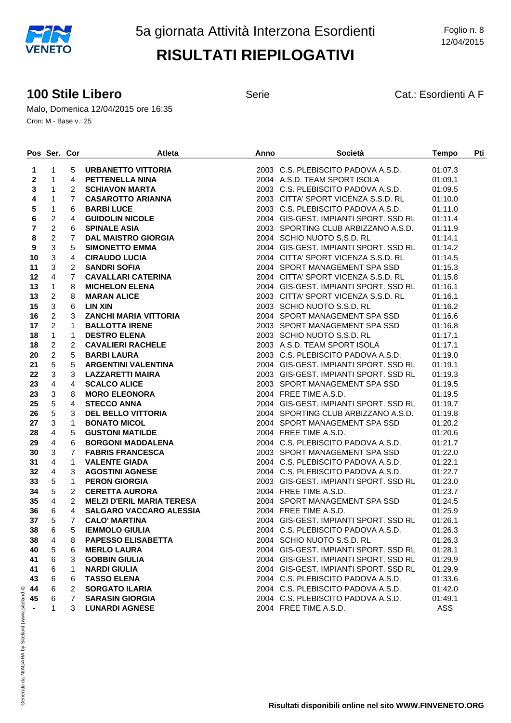#### **100 Stile Libero** Serie Serie Cat.: Esordienti A F

Malo, Domenica 12/04/2015 ore 16:35 Cron: M - Base v.: 25

|                  | Pos Ser. Cor   |                | <b>Atleta</b>                                                                                                                                                                                                                                       | Anno | <b>Società Exercise de la contrata della contrata della contrata della contrata dell</b> | <b>Tempo</b> | Pti |
|------------------|----------------|----------------|-----------------------------------------------------------------------------------------------------------------------------------------------------------------------------------------------------------------------------------------------------|------|------------------------------------------------------------------------------------------|--------------|-----|
| 1                | $\mathbf{1}$   | 5              | URBANETTO VITTORIA                                                                                                                                                                                                                                  |      | 2003 C.S. PLEBISCITO PADOVA A.S.D.                                                       | 01:07.3      |     |
| $\mathbf{2}$     | $\mathbf{1}$   | 4              | URBANETTO VITTORIA<br>PETTENELLA NINA<br>SCHIAVON MARTA<br>CASAROTTO ARIANNA<br>BARBI LUCE<br>GUIDOLIN NICOLE<br>SPINALE ASIA<br>DAL MAISTRO GIORGIA<br>SIMONETTO EMMA<br>CIRAUDO LUCIA<br>SANDRI SOFIA<br>CAVALLARI CATERINA<br>CAVALLARI CATERINA |      | 2004 A.S.D. TEAM SPORT ISOLA                                                             | 01:09.1      |     |
| 3                | 1              | $\mathbf{2}$   |                                                                                                                                                                                                                                                     |      | 2003 C.S. PLEBISCITO PADOVA A.S.D.                                                       | 01:09.5      |     |
| 4                | 1              | $\overline{7}$ |                                                                                                                                                                                                                                                     |      | 2003 CITTA' SPORT VICENZA S.S.D. RL                                                      | 01:10.0      |     |
| $\sqrt{5}$       | $\mathbf{1}$   | 6              |                                                                                                                                                                                                                                                     |      | 2003 C.S. PLEBISCITO PADOVA A.S.D.                                                       | 01:11.0      |     |
| $\bf 6$          | $\overline{2}$ | $\overline{4}$ |                                                                                                                                                                                                                                                     |      | 2004 GIS-GEST. IMPIANTI SPORT. SSD RL                                                    | 01:11.4      |     |
| $\overline{7}$   | $\overline{2}$ | 6              |                                                                                                                                                                                                                                                     |      | 2003 SPORTING CLUB ARBIZZANO A.S.D.                                                      | 01:11.9      |     |
| 8                | $\overline{a}$ | $\overline{7}$ |                                                                                                                                                                                                                                                     |      | 2004 SCHIO NUOTO S.S.D. RL                                                               | 01:14.1      |     |
| $\boldsymbol{9}$ | 3              | 5              |                                                                                                                                                                                                                                                     |      | 2004 GIS-GEST. IMPIANTI SPORT. SSD RL                                                    | 01:14.2      |     |
| 10               | 3              | 4              |                                                                                                                                                                                                                                                     |      | 2004 CITTA' SPORT VICENZA S.S.D. RL                                                      | 01:14.5      |     |
| 11               | 3              | $\mathbf{2}$   |                                                                                                                                                                                                                                                     |      | 2004 SPORT MANAGEMENT SPA SSD                                                            | 01:15.3      |     |
| 12               | $\overline{4}$ | $\overline{7}$ |                                                                                                                                                                                                                                                     |      | 2004 CITTA' SPORT VICENZA S.S.D. RL                                                      | 01:15.8      |     |
| 13               | $\mathbf{1}$   | 8              |                                                                                                                                                                                                                                                     |      | 2004 GIS-GEST. IMPIANTI SPORT. SSD RL                                                    | 01:16.1      |     |
| 13               | $\overline{2}$ | 8              |                                                                                                                                                                                                                                                     |      | 2003 CITTA' SPORT VICENZA S.S.D. RL                                                      | 01:16.1      |     |
| 15               | $\mathbf{3}$   | 6              |                                                                                                                                                                                                                                                     |      | 2003 SCHIO NUOTO S.S.D. RL                                                               | 01:16.2      |     |
| 16               | $\overline{2}$ | 3              |                                                                                                                                                                                                                                                     |      | 2004 SPORT MANAGEMENT SPA SSD                                                            | 01:16.6      |     |
| 17               | $\overline{2}$ | 1              |                                                                                                                                                                                                                                                     |      | 2003 SPORT MANAGEMENT SPA SSD                                                            | 01:16.8      |     |
| 18               | $\mathbf{1}$   | $\mathbf{1}$   |                                                                                                                                                                                                                                                     |      | 2003 SCHIO NUOTO S.S.D. RL                                                               | 01:17.1      |     |
| 18               | $\overline{2}$ | $\overline{2}$ |                                                                                                                                                                                                                                                     |      | 2003 A.S.D. TEAM SPORT ISOLA                                                             | 01:17.1      |     |
| 20               | $\overline{a}$ | 5              |                                                                                                                                                                                                                                                     |      | 2003 C.S. PLEBISCITO PADOVA A.S.D.                                                       | 01:19.0      |     |
| 21               | 5              | 5              | <b>CAVALLARI CATERINA<br/>MICHELON ELENA<br/>MARAN ALICE<br/>LIN XIN<br/>ZANCHI MARIA VITTORIA<br/>BALLOTTA IRENE<br/>DESTRO ELENA<br/>CAVALIERI RACHELE<br/>BARBI LAURA<br/>ARGENTINI VALENTINA<br/>ARGENTINI VALENTINA</b>                        |      | 2004 GIS-GEST, IMPIANTI SPORT, SSD RL                                                    | 01:19.1      |     |
| 22               | 3              | 3              | <b>EXECUTIVE VALUATION</b><br>LAZZARETTI MAIRA<br>SCALCO ALICE<br>MORO ELEONORA<br>STECCO ANNA<br>DEL BELLO VITTORIA<br>BONATO MICOL<br>GUSTONI MATILDE                                                                                             |      | 2003 GIS-GEST. IMPIANTI SPORT. SSD RL                                                    | 01:19.3      |     |
| 23               | $\overline{4}$ | $\overline{4}$ |                                                                                                                                                                                                                                                     |      | 2003 SPORT MANAGEMENT SPA SSD                                                            | 01:19.5      |     |
| 23               | $\mathbf{3}$   | 8              |                                                                                                                                                                                                                                                     |      | 2004 FREE TIME A.S.D.                                                                    | 01:19.5      |     |
| 25               | 5              | $\overline{4}$ |                                                                                                                                                                                                                                                     |      | 2004 GIS-GEST. IMPIANTI SPORT. SSD RL                                                    | 01:19.7      |     |
| 26               | 5              | 3              |                                                                                                                                                                                                                                                     |      | 2004 SPORTING CLUB ARBIZZANO A.S.D.                                                      | 01:19.8      |     |
| 27               | 3              | $\mathbf 1$    |                                                                                                                                                                                                                                                     |      | 2004 SPORT MANAGEMENT SPA SSD                                                            | 01:20.2      |     |
| 28               | $\overline{4}$ | 5              |                                                                                                                                                                                                                                                     |      | 2004 FREE TIME A.S.D.                                                                    | 01:20.6      |     |
| 29               | $\overline{4}$ | 6              | BORGONI MADDALENA                                                                                                                                                                                                                                   |      | 2004 C.S. PLEBISCITO PADOVA A.S.D.                                                       | 01:21.7      |     |
| 30               | 3              | $\overline{7}$ |                                                                                                                                                                                                                                                     |      | 2003 SPORT MANAGEMENT SPA SSD                                                            | 01:22.0      |     |
| 31               | $\overline{4}$ | $\mathbf 1$    |                                                                                                                                                                                                                                                     |      | 2004 C.S. PLEBISCITO PADOVA A.S.D.                                                       | 01:22.1      |     |
| 32               | $\overline{4}$ | 3              |                                                                                                                                                                                                                                                     |      | 2004 C.S. PLEBISCITO PADOVA A.S.D.                                                       | 01:22.7      |     |
| 33               | $\overline{5}$ | $\mathbf{1}$   | <b>FABRIS FRANCESCA<br/>VALENTE GIADA<br/>AGOSTINI AGNESE<br/>PERON GIORGIA<br/>CERETTA AURORA</b>                                                                                                                                                  |      | 2003 GIS-GEST. IMPIANTI SPORT. SSD RL                                                    | 01:23.0      |     |
| 34               | 5              | $\overline{2}$ | <b>CERETTA AURORA</b>                                                                                                                                                                                                                               |      | 2004 FREE TIME A.S.D.                                                                    | 01:23.7      |     |
| 35               | $\overline{4}$ | $\overline{2}$ | <b>MELZI D'ERIL MARIA TERESA</b>                                                                                                                                                                                                                    |      | 2004 SPORT MANAGEMENT SPA SSD                                                            | 01:24.5      |     |
| 36               | 6              | 4              | SALGARO VACCARO ALESSIA                                                                                                                                                                                                                             |      | 2004 FREE TIME A.S.D.                                                                    | 01:25.9      |     |
| 37               | 5              | $7^{\circ}$    | <b>CALO' MARTINA</b>                                                                                                                                                                                                                                |      | 2004 GIS-GEST. IMPIANTI SPORT. SSD RL                                                    | 01:26.1      |     |
| 38               | 6              | 5              | <b>IEMMOLO GIULIA</b>                                                                                                                                                                                                                               |      | 2004 C.S. PLEBISCITO PADOVA A.S.D.                                                       | 01:26.3      |     |
| 38               | 4              | 8              | <b>PAPESSO ELISABETTA</b>                                                                                                                                                                                                                           |      | 2004 SCHIO NUOTO S.S.D. RL                                                               | 01:26.3      |     |
| 40               | 5              | 6              | <b>MERLO LAURA</b>                                                                                                                                                                                                                                  |      | 2004 GIS-GEST. IMPIANTI SPORT. SSD RL                                                    | 01:28.1      |     |
| 41               | 6              | 3              | <b>GOBBIN GIULIA</b>                                                                                                                                                                                                                                |      | 2004 GIS-GEST. IMPIANTI SPORT. SSD RL                                                    | 01:29.9      |     |
| 41               | 6              | 1              | <b>NARDI GIULIA</b>                                                                                                                                                                                                                                 |      | 2004 GIS-GEST. IMPIANTI SPORT. SSD RL                                                    | 01:29.9      |     |
| 43               | 6              | 6              | <b>TASSO ELENA</b>                                                                                                                                                                                                                                  |      | 2004 C.S. PLEBISCITO PADOVA A.S.D.                                                       | 01:33.6      |     |
| 44               | 6              | 2              | <b>SORGATO ILARIA</b>                                                                                                                                                                                                                               |      | 2004 C.S. PLEBISCITO PADOVA A.S.D.                                                       | 01:42.0      |     |
| 45               | 6              | 7              | <b>SARASIN GIORGIA</b>                                                                                                                                                                                                                              |      | 2004 C.S. PLEBISCITO PADOVA A.S.D.                                                       | 01:49.1      |     |
|                  | 1              | 3              | <b>LUNARDI AGNESE</b>                                                                                                                                                                                                                               |      | 2004 FREE TIME A.S.D.                                                                    | ASS          |     |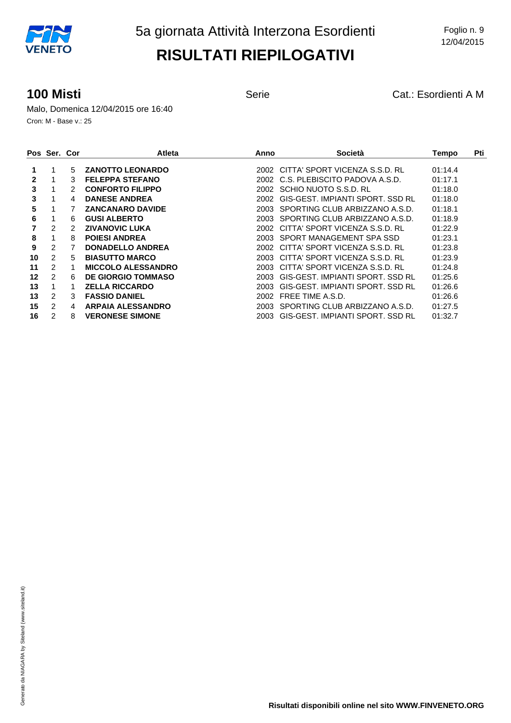**100 Misti 100 Misti 100 Misti Serie** Serie **Cat.: Esordienti A M** 

Malo, Domenica 12/04/2015 ore 16:40 Cron: M - Base v.: 25

|    | Pos Ser. Cor   |    | <b>Atleta</b>             | Anno  | Società                             | Tempo   | Pti |
|----|----------------|----|---------------------------|-------|-------------------------------------|---------|-----|
|    |                | 5  | <b>ZANOTTO LEONARDO</b>   |       | 2002 CITTA' SPORT VICENZA S.S.D. RL | 01:14.4 |     |
| 2  |                | 3  | <b>FELEPPA STEFANO</b>    | 2002  | C.S. PLEBISCITO PADOVA A.S.D.       | 01:17.1 |     |
| 3  |                | 2  | <b>CONFORTO FILIPPO</b>   | 2002. | SCHIO NUOTO S.S.D. RL               | 01:18.0 |     |
| 3  |                | 4  | <b>DANESE ANDREA</b>      | 2002. | GIS-GEST. IMPIANTI SPORT. SSD RL    | 01:18.0 |     |
| 5  |                |    | <b>ZANCANARO DAVIDE</b>   | 2003  | SPORTING CLUB ARBIZZANO A.S.D.      | 01:18.1 |     |
| 6  |                | 6. | <b>GUSI ALBERTO</b>       | 2003. | SPORTING CLUB ARBIZZANO A.S.D.      | 01:18.9 |     |
|    | 2              |    | <b>ZIVANOVIC LUKA</b>     | 2002. | CITTA' SPORT VICENZA S.S.D. RL      | 01:22.9 |     |
| 8  |                | 8  | <b>POIESI ANDREA</b>      | 2003  | SPORT MANAGEMENT SPA SSD            | 01:23.1 |     |
| 9  | 2              |    | <b>DONADELLO ANDREA</b>   | 2002  | CITTA' SPORT VICENZA S.S.D. RL      | 01:23.8 |     |
| 10 | $\overline{2}$ | 5  | <b>BIASUTTO MARCO</b>     | 2003  | CITTA' SPORT VICENZA S.S.D. RL      | 01:23.9 |     |
| 11 | 2              |    | <b>MICCOLO ALESSANDRO</b> | 2003. | CITTA' SPORT VICENZA S.S.D. RL      | 01:24.8 |     |
| 12 | 2              | 6  | <b>DE GIORGIO TOMMASO</b> | 2003. | GIS-GEST, IMPIANTI SPORT, SSD RL    | 01:25.6 |     |
| 13 |                |    | <b>ZELLA RICCARDO</b>     | 2003. | GIS-GEST, IMPIANTI SPORT, SSD RL    | 01:26.6 |     |
| 13 | 2              | 3  | <b>FASSIO DANIEL</b>      | 2002. | FREE TIME A.S.D.                    | 01:26.6 |     |
| 15 | 2              | 4  | <b>ARPAIA ALESSANDRO</b>  | 2003. | SPORTING CLUB ARBIZZANO A.S.D.      | 01:27.5 |     |
| 16 | 2              | 8  | <b>VERONESE SIMONE</b>    | 2003. | GIS-GEST, IMPIANTI SPORT, SSD RL    | 01:32.7 |     |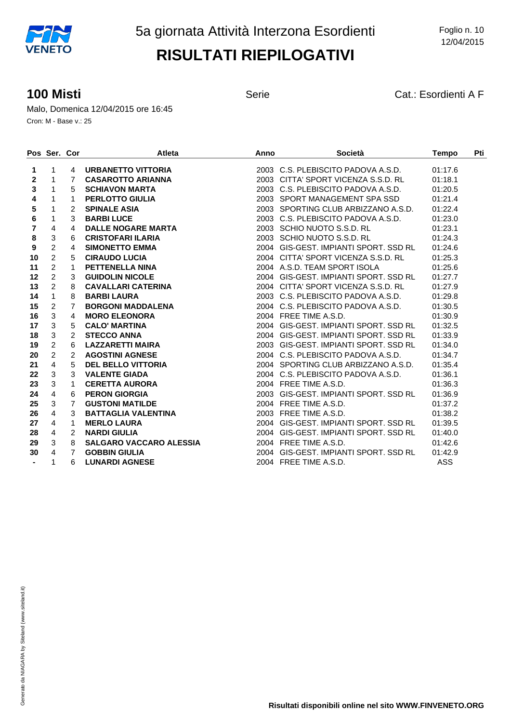**100 Misti 100 Misti Cat.: Esordienti A F** 

Malo, Domenica 12/04/2015 ore 16:45 Cron: M - Base v.: 25

|                | Pos Ser. Cor              |                | <b>Atleta</b>                  | Anno | <b>Società</b>                        | <b>Tempo</b> | Pti |
|----------------|---------------------------|----------------|--------------------------------|------|---------------------------------------|--------------|-----|
| 1              | $\mathbf{1}$              |                | 4 URBANETTO VITTORIA           |      | 2003 C.S. PLEBISCITO PADOVA A.S.D.    | 01:17.6      |     |
| 2              | $\mathbf{1}$              | $7^{\circ}$    | <b>CASAROTTO ARIANNA</b>       |      | 2003 CITTA' SPORT VICENZA S.S.D. RL   | 01:18.1      |     |
| 3              | 1                         | 5              | <b>SCHIAVON MARTA</b>          |      | 2003 C.S. PLEBISCITO PADOVA A.S.D.    | 01:20.5      |     |
| 4              | 1                         | 1              | <b>PERLOTTO GIULIA</b>         |      | 2003 SPORT MANAGEMENT SPA SSD         | 01:21.4      |     |
| 5              | $\mathbf{1}$              | $\overline{2}$ | <b>SPINALE ASIA</b>            |      | 2003 SPORTING CLUB ARBIZZANO A.S.D.   | 01:22.4      |     |
| 6              | $\mathbf{1}$              | 3              | <b>BARBI LUCE</b>              |      | 2003 C.S. PLEBISCITO PADOVA A.S.D.    | 01:23.0      |     |
| $\overline{7}$ | $\overline{4}$            | $\overline{4}$ | <b>DALLE NOGARE MARTA</b>      |      | 2003 SCHIO NUOTO S.S.D. RL            | 01:23.1      |     |
| 8              | $\ensuremath{\mathsf{3}}$ | 6              | <b>CRISTOFARI ILARIA</b>       |      | 2003 SCHIO NUOTO S.S.D. RL            | 01:24.3      |     |
| 9              | $\overline{c}$            | $\overline{4}$ | <b>SIMONETTO EMMA</b>          |      | 2004 GIS-GEST, IMPIANTI SPORT, SSD RL | 01:24.6      |     |
| 10             | $\overline{2}$            | 5              | <b>CIRAUDO LUCIA</b>           |      | 2004 CITTA' SPORT VICENZA S.S.D. RL   | 01:25.3      |     |
| 11             | $\overline{2}$            | $\mathbf{1}$   | <b>PETTENELLA NINA</b>         |      | 2004 A.S.D. TEAM SPORT ISOLA          | 01:25.6      |     |
| 12             | $\overline{2}$            | 3              | <b>GUIDOLIN NICOLE</b>         |      | 2004 GIS-GEST, IMPIANTI SPORT, SSD RL | 01:27.7      |     |
| 13             | $\overline{2}$            | 8              | <b>CAVALLARI CATERINA</b>      |      | 2004 CITTA' SPORT VICENZA S.S.D. RL   | 01:27.9      |     |
| 14             | $\mathbf{1}$              | 8              | <b>BARBILAURA</b>              |      | 2003 C.S. PLEBISCITO PADOVA A.S.D.    | 01:29.8      |     |
| 15             | $\overline{2}$            | $\overline{7}$ | <b>BORGONI MADDALENA</b>       |      | 2004 C.S. PLEBISCITO PADOVA A.S.D.    | 01:30.5      |     |
| 16             | 3                         | $\overline{4}$ | <b>MORO ELEONORA</b>           |      | 2004 FREE TIME A.S.D.                 | 01:30.9      |     |
| 17             | $\mathbf{3}$              | 5              | <b>CALO' MARTINA</b>           |      | 2004 GIS-GEST, IMPIANTI SPORT, SSD RL | 01:32.5      |     |
| 18             | $\overline{3}$            | $\overline{2}$ | <b>STECCO ANNA</b>             |      | 2004 GIS-GEST, IMPIANTI SPORT, SSD RL | 01:33.9      |     |
| 19             | $\overline{2}$            | 6              | <b>LAZZARETTI MAIRA</b>        |      | 2003 GIS-GEST, IMPIANTI SPORT, SSD RL | 01:34.0      |     |
| 20             | $\overline{2}$            | $2^{\circ}$    | <b>AGOSTINI AGNESE</b>         |      | 2004 C.S. PLEBISCITO PADOVA A.S.D.    | 01:34.7      |     |
| 21             | $\overline{4}$            | 5              | <b>DEL BELLO VITTORIA</b>      |      | 2004 SPORTING CLUB ARBIZZANO A.S.D.   | 01:35.4      |     |
| 22             | $\mathbf{3}$              | 3 <sup>1</sup> | <b>VALENTE GIADA</b>           |      | 2004 C.S. PLEBISCITO PADOVA A.S.D.    | 01:36.1      |     |
| 23             | 3                         | 1              | <b>CERETTA AURORA</b>          |      | 2004 FREE TIME A.S.D.                 | 01:36.3      |     |
| 24             | $\overline{4}$            | 6              | <b>PERON GIORGIA</b>           |      | 2003 GIS-GEST. IMPIANTI SPORT. SSD RL | 01:36.9      |     |
| 25             | 3                         | $\overline{7}$ | <b>GUSTONI MATILDE</b>         |      | 2004 FREE TIME A.S.D.                 | 01:37.2      |     |
| 26             | 4                         | 3              | <b>BATTAGLIA VALENTINA</b>     |      | 2003 FREE TIME A.S.D.                 | 01:38.2      |     |
| 27             | $\overline{4}$            | $\mathbf{1}$   | <b>MERLO LAURA</b>             |      | 2004 GIS-GEST. IMPIANTI SPORT. SSD RL | 01:39.5      |     |
| 28             | $\overline{4}$            | $\overline{2}$ | <b>NARDI GIULIA</b>            |      | 2004 GIS-GEST, IMPIANTI SPORT, SSD RL | 01:40.0      |     |
| 29             | 3                         | 8              | <b>SALGARO VACCARO ALESSIA</b> |      | 2004 FREE TIME A.S.D.                 | 01:42.6      |     |
| 30             | $\overline{4}$            | $7^{\circ}$    | <b>GOBBIN GIULIA</b>           |      | 2004 GIS-GEST. IMPIANTI SPORT. SSD RL | 01:42.9      |     |
|                | $\mathbf 1$               | 6              | <b>LUNARDI AGNESE</b>          |      | 2004 FREE TIME A.S.D.                 | <b>ASS</b>   |     |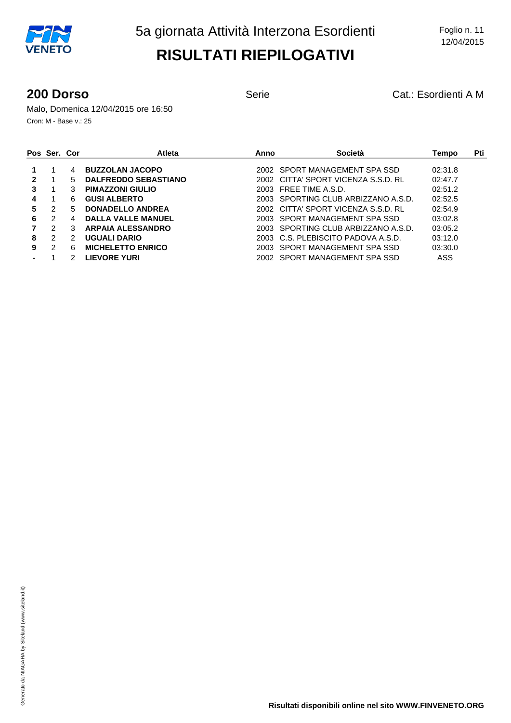**200 Dorso** Serie Cat.: Esordienti A M

Malo, Domenica 12/04/2015 ore 16:50 Cron: M - Base v.: 25

|   | Pos Ser. Cor |    | <b>Atleta</b>               | Anno | Società                             | Tempo   | Pti |
|---|--------------|----|-----------------------------|------|-------------------------------------|---------|-----|
|   |              | 4  | <b>BUZZOLAN JACOPO</b>      |      | 2002 SPORT MANAGEMENT SPA SSD       | 02:31.8 |     |
|   |              | 5. | <b>DALFREDDO SEBASTIANO</b> |      | 2002 CITTA' SPORT VICENZA S.S.D. RL | 02:47.7 |     |
| 3 |              | 3  | <b>PIMAZZONI GIULIO</b>     |      | 2003 FREE TIME A.S.D.               | 02:51.2 |     |
| 4 |              | 6  | <b>GUSI ALBERTO</b>         |      | 2003 SPORTING CLUB ARBIZZANO A.S.D. | 02:52.5 |     |
| 5 | 2            | 5  | <b>DONADELLO ANDREA</b>     |      | 2002 CITTA' SPORT VICENZA S.S.D. RL | 02:54.9 |     |
| 6 | 2            | 4  | <b>DALLA VALLE MANUEL</b>   |      | 2003 SPORT MANAGEMENT SPA SSD       | 03:02.8 |     |
|   | 2            | 3  | <b>ARPAIA ALESSANDRO</b>    |      | 2003 SPORTING CLUB ARBIZZANO A.S.D. | 03:05.2 |     |
| 8 | 2            | 2  | UGUALI DARIO                |      | 2003 C.S. PLEBISCITO PADOVA A.S.D.  | 03:12.0 |     |
| 9 | 2            | 6  | <b>MICHELETTO ENRICO</b>    |      | 2003 SPORT MANAGEMENT SPA SSD       | 03:30.0 |     |
|   |              |    | <b>LIEVORE YURI</b>         |      | 2002 SPORT MANAGEMENT SPA SSD       | ASS     |     |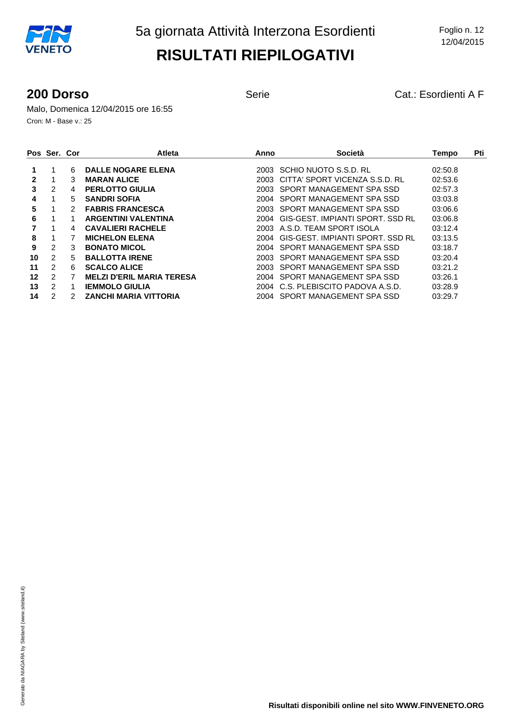**200 Dorso** Serie Cat.: Esordienti A F

Malo, Domenica 12/04/2015 ore 16:55 Cron: M - Base v.: 25

|    | Pos Ser. Cor |    | <b>Atleta</b>                    | Anno  | Società                          | Tempo   | Pti |
|----|--------------|----|----------------------------------|-------|----------------------------------|---------|-----|
|    | 1            | 6  | <b>DALLE NOGARE ELENA</b>        | 2003. | SCHIO NUOTO S.S.D. RL            | 02:50.8 |     |
| 2  | 1            | 3  | <b>MARAN ALICE</b>               | 2003. | CITTA' SPORT VICENZA S.S.D. RL   | 02:53.6 |     |
| 3  | 2            | 4  | <b>PERLOTTO GIULIA</b>           | 2003. | SPORT MANAGEMENT SPA SSD         | 02:57.3 |     |
| 4  | 1            | 5  | <b>SANDRI SOFIA</b>              | 2004  | SPORT MANAGEMENT SPA SSD         | 03:03.8 |     |
| 5  | 1            | 2  | <b>FABRIS FRANCESCA</b>          | 2003  | SPORT MANAGEMENT SPA SSD         | 03:06.6 |     |
| 6  | 1            |    | <b>ARGENTINI VALENTINA</b>       | 2004  | GIS-GEST, IMPIANTI SPORT, SSD RL | 03:06.8 |     |
|    |              | 4  | <b>CAVALIERI RACHELE</b>         |       | 2003 A.S.D. TEAM SPORT ISOLA     | 03:12.4 |     |
| 8  | 1            |    | <b>MICHELON ELENA</b>            | 2004  | GIS-GEST, IMPIANTI SPORT, SSD RL | 03:13.5 |     |
| 9  | 2            | 3  | <b>BONATO MICOL</b>              | 2004  | SPORT MANAGEMENT SPA SSD         | 03:18.7 |     |
| 10 | 2            | 5. | <b>BALLOTTA IRENE</b>            | 2003. | SPORT MANAGEMENT SPA SSD         | 03:20.4 |     |
| 11 | 2            | 6  | <b>SCALCO ALICE</b>              | 2003  | SPORT MANAGEMENT SPA SSD         | 03:21.2 |     |
| 12 | 2            | 7  | <b>MELZI D'ERIL MARIA TERESA</b> | 2004  | SPORT MANAGEMENT SPA SSD         | 03:26.1 |     |
| 13 | 2            |    | <b>IEMMOLO GIULIA</b>            | 2004  | C.S. PLEBISCITO PADOVA A.S.D.    | 03:28.9 |     |
| 14 | 2            | 2  | <b>ZANCHI MARIA VITTORIA</b>     | 2004  | SPORT MANAGEMENT SPA SSD         | 03:29.7 |     |
|    |              |    |                                  |       |                                  |         |     |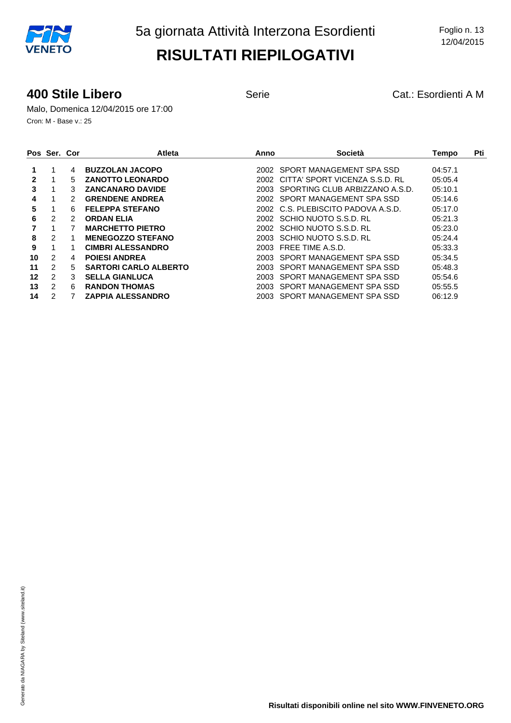#### **400 Stile Libero Cat.: Esordienti A M** Serie **Cat.: Esordienti A M**

Malo, Domenica 12/04/2015 ore 17:00 Cron: M - Base v.: 25

|    | Pos Ser. Cor   |    | <b>Atleta</b>                | Anno  | Società                            | Tempo   | Pti |
|----|----------------|----|------------------------------|-------|------------------------------------|---------|-----|
|    |                | 4  | <b>BUZZOLAN JACOPO</b>       |       | 2002 SPORT MANAGEMENT SPA SSD      | 04:57.1 |     |
| 2  | 1              | 5  | <b>ZANOTTO LEONARDO</b>      | 2002  | CITTA' SPORT VICENZA S.S.D. RL     | 05:05.4 |     |
| 3  |                | 3  | <b>ZANCANARO DAVIDE</b>      | 2003  | SPORTING CLUB ARBIZZANO A.S.D.     | 05:10.1 |     |
| 4  | 1              | 2  | <b>GRENDENE ANDREA</b>       | 2002  | SPORT MANAGEMENT SPA SSD           | 05:14.6 |     |
| 5  |                | 6  | <b>FELEPPA STEFANO</b>       |       | 2002 C.S. PLEBISCITO PADOVA A.S.D. | 05:17.0 |     |
| 6  | 2              | 2  | <b>ORDAN ELIA</b>            |       | 2002 SCHIO NUOTO S.S.D. RL         | 05:21.3 |     |
|    |                |    | <b>MARCHETTO PIETRO</b>      |       | 2002 SCHIO NUOTO S.S.D. RL         | 05:23.0 |     |
| 8  | $\mathfrak{p}$ |    | <b>MENEGOZZO STEFANO</b>     | 2003. | SCHIO NUOTO S.S.D. RL              | 05:24.4 |     |
| 9  | 1              |    | <b>CIMBRI ALESSANDRO</b>     | 2003. | FREE TIME A.S.D.                   | 05:33.3 |     |
| 10 | 2              | 4  | <b>POIESI ANDREA</b>         | 2003. | SPORT MANAGEMENT SPA SSD           | 05:34.5 |     |
| 11 | $\overline{2}$ | 5. | <b>SARTORI CARLO ALBERTO</b> | 2003. | SPORT MANAGEMENT SPA SSD           | 05:48.3 |     |
| 12 | 2              | 3  | <b>SELLA GIANLUCA</b>        | 2003. | SPORT MANAGEMENT SPA SSD           | 05:54.6 |     |
| 13 | 2              | 6  | <b>RANDON THOMAS</b>         | 2003. | SPORT MANAGEMENT SPA SSD           | 05:55.5 |     |
| 14 | 2              |    | <b>ZAPPIA ALESSANDRO</b>     | 2003- | SPORT MANAGEMENT SPA SSD           | 06:12.9 |     |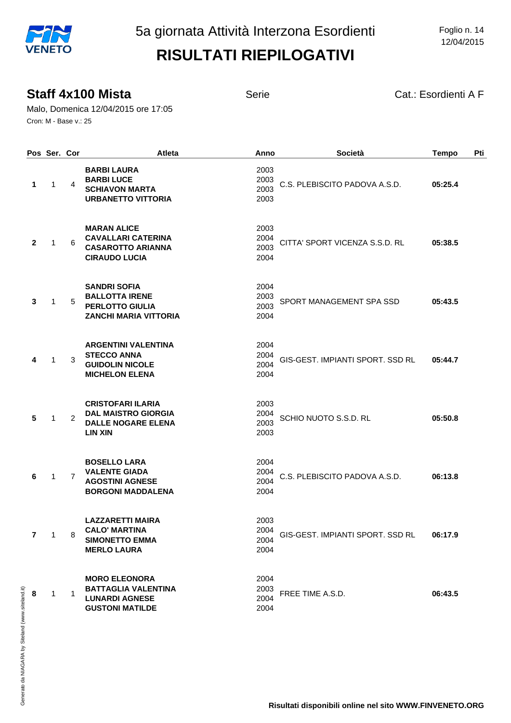12/04/2015

#### **Staff 4x100 Mista** Serie Serie Cat.: Esordienti A F

Malo, Domenica 12/04/2015 ore 17:05 Cron: M - Base v.: 25

|                | Pos Ser. Cor |   | Atleta                                                                                                | Anno                         | Società                          | <b>Tempo</b> | Pti |
|----------------|--------------|---|-------------------------------------------------------------------------------------------------------|------------------------------|----------------------------------|--------------|-----|
| 1              | 1            | 4 | <b>BARBILAURA</b><br><b>BARBI LUCE</b><br><b>SCHIAVON MARTA</b><br><b>URBANETTO VITTORIA</b>          | 2003<br>2003<br>2003<br>2003 | C.S. PLEBISCITO PADOVA A.S.D.    | 05:25.4      |     |
| $\mathbf{2}$   | $\mathbf{1}$ | 6 | <b>MARAN ALICE</b><br><b>CAVALLARI CATERINA</b><br><b>CASAROTTO ARIANNA</b><br><b>CIRAUDO LUCIA</b>   | 2003<br>2004<br>2003<br>2004 | CITTA' SPORT VICENZA S.S.D. RL   | 05:38.5      |     |
| 3              | 1            | 5 | <b>SANDRI SOFIA</b><br><b>BALLOTTA IRENE</b><br>PERLOTTO GIULIA<br><b>ZANCHI MARIA VITTORIA</b>       | 2004<br>2003<br>2003<br>2004 | SPORT MANAGEMENT SPA SSD         | 05:43.5      |     |
| 4              | 1            | 3 | <b>ARGENTINI VALENTINA</b><br><b>STECCO ANNA</b><br><b>GUIDOLIN NICOLE</b><br><b>MICHELON ELENA</b>   | 2004<br>2004<br>2004<br>2004 | GIS-GEST. IMPIANTI SPORT. SSD RL | 05:44.7      |     |
| 5              | $\mathbf{1}$ | 2 | <b>CRISTOFARI ILARIA</b><br><b>DAL MAISTRO GIORGIA</b><br><b>DALLE NOGARE ELENA</b><br><b>LIN XIN</b> | 2003<br>2004<br>2003<br>2003 | SCHIO NUOTO S.S.D. RL            | 05:50.8      |     |
| 6              | 1            | 7 | <b>BOSELLO LARA</b><br><b>VALENTE GIADA</b><br><b>AGOSTINI AGNESE</b><br><b>BORGONI MADDALENA</b>     | 2004<br>2004<br>2004<br>2004 | C.S. PLEBISCITO PADOVA A.S.D.    | 06:13.8      |     |
| $\overline{7}$ | $\mathbf{1}$ | 8 | <b>LAZZARETTI MAIRA</b><br><b>CALO' MARTINA</b><br><b>SIMONETTO EMMA</b><br><b>MERLO LAURA</b>        | 2003<br>2004<br>2004<br>2004 | GIS-GEST. IMPIANTI SPORT. SSD RL | 06:17.9      |     |
| 8              | 1            | 1 | <b>MORO ELEONORA</b><br><b>BATTAGLIA VALENTINA</b><br><b>LUNARDI AGNESE</b><br><b>GUSTONI MATILDE</b> | 2004<br>2003<br>2004<br>2004 | FREE TIME A.S.D.                 | 06:43.5      |     |